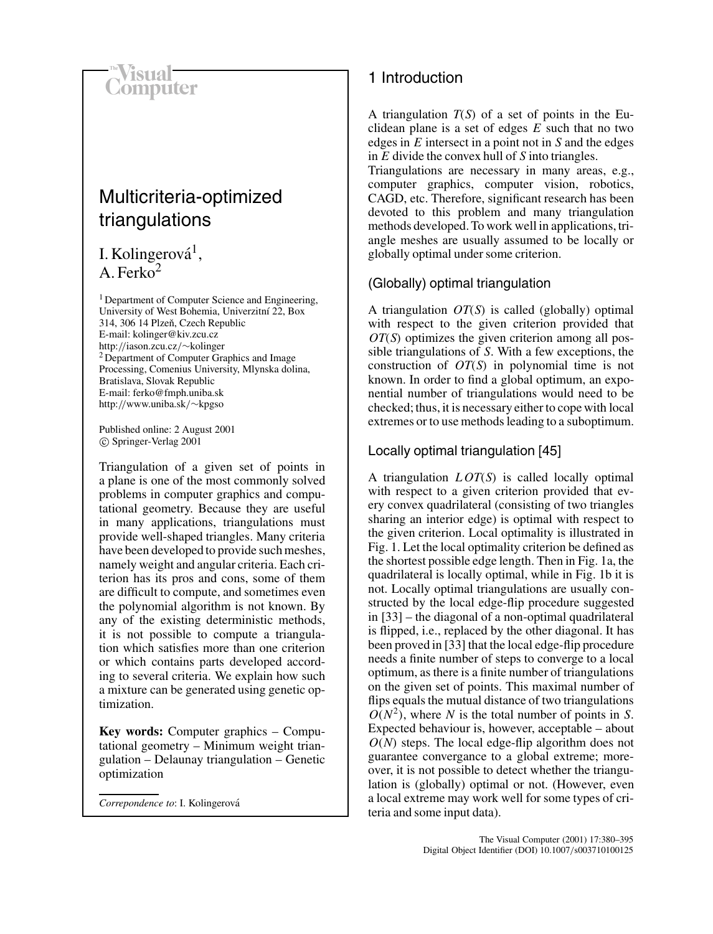# computer

## Multicriteria-optimized triangulations

## I. Kolingerová $<sup>1</sup>$ ,</sup> A. Ferko<sup>2</sup>

<sup>1</sup> Department of Computer Science and Engineering, University of West Bohemia, Univerzitní 22, Box 314, 306 14 Plzeň, Czech Republic E-mail: kolinger@kiv.zcu.cz http://iason.zcu.cz/∼kolinger <sup>2</sup> Department of Computer Graphics and Image Processing, Comenius University, Mlynska dolina, Bratislava, Slovak Republic E-mail: ferko@fmph.uniba.sk http://www.uniba.sk/∼kpgso

Published online: 2 August 2001 -c Springer-Verlag 2001

Triangulation of a given set of points in a plane is one of the most commonly solved problems in computer graphics and computational geometry. Because they are useful in many applications, triangulations must provide well-shaped triangles. Many criteria have been developed to provide such meshes, namely weight and angular criteria. Each criterion has its pros and cons, some of them are difficult to compute, and sometimes even the polynomial algorithm is not known. By any of the existing deterministic methods, it is not possible to compute a triangulation which satisfies more than one criterion or which contains parts developed according to several criteria. We explain how such a mixture can be generated using genetic optimization.

**Key words:** Computer graphics – Computational geometry – Minimum weight triangulation – Delaunay triangulation – Genetic optimization

*Correpondence to*: I. Kolingerova´

## 1 Introduction

A triangulation *T*(*S*) of a set of points in the Euclidean plane is a set of edges *E* such that no two edges in *E* intersect in a point not in *S* and the edges in *E* divide the convex hull of *S* into triangles.

Triangulations are necessary in many areas, e.g., computer graphics, computer vision, robotics, CAGD, etc. Therefore, significant research has been devoted to this problem and many triangulation methods developed. To work well in applications, triangle meshes are usually assumed to be locally or globally optimal under some criterion.

## (Globally) optimal triangulation

A triangulation *OT*(*S*) is called (globally) optimal with respect to the given criterion provided that *OT*(*S*) optimizes the given criterion among all possible triangulations of *S*. With a few exceptions, the construction of *OT*(*S*) in polynomial time is not known. In order to find a global optimum, an exponential number of triangulations would need to be checked; thus, it is necessary either to cope with local extremes or to use methods leading to a suboptimum.

## Locally optimal triangulation [45]

A triangulation *LOT*(*S*) is called locally optimal with respect to a given criterion provided that every convex quadrilateral (consisting of two triangles sharing an interior edge) is optimal with respect to the given criterion. Local optimality is illustrated in Fig. 1. Let the local optimality criterion be defined as the shortest possible edge length. Then in Fig. 1a, the quadrilateral is locally optimal, while in Fig. 1b it is not. Locally optimal triangulations are usually constructed by the local edge-flip procedure suggested in [33] – the diagonal of a non-optimal quadrilateral is flipped, i.e., replaced by the other diagonal. It has been proved in [33] that the local edge-flip procedure needs a finite number of steps to converge to a local optimum, as there is a finite number of triangulations on the given set of points. This maximal number of flips equals the mutual distance of two triangulations  $O(N^2)$ , where *N* is the total number of points in *S*. Expected behaviour is, however, acceptable – about *O*(*N*) steps. The local edge-flip algorithm does not guarantee convergance to a global extreme; moreover, it is not possible to detect whether the triangulation is (globally) optimal or not. (However, even a local extreme may work well for some types of criteria and some input data).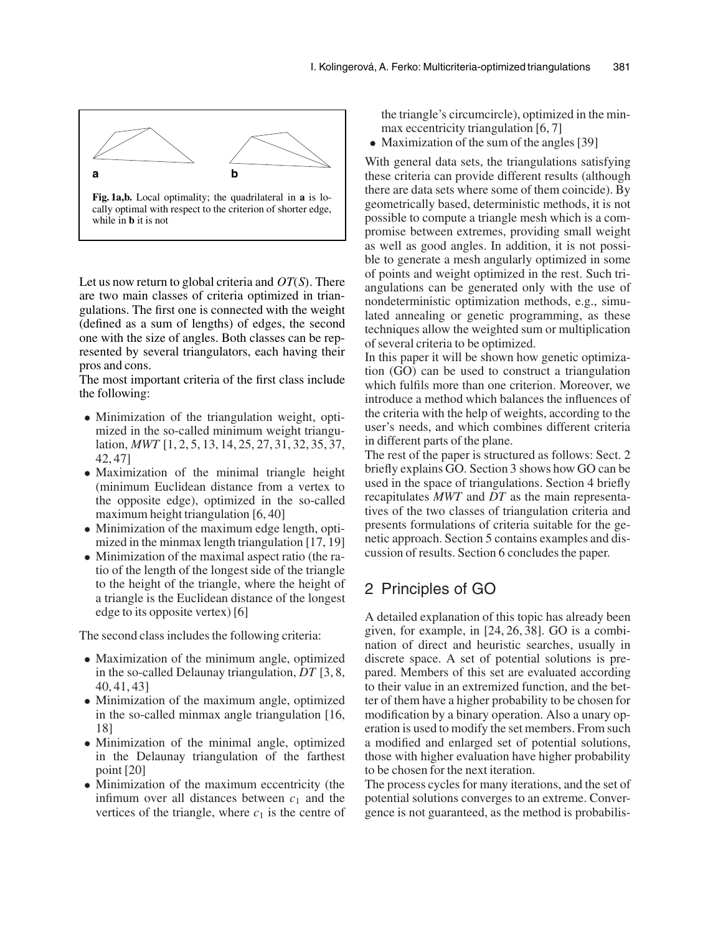

Let us now return to global criteria and *OT*(*S*). There are two main classes of criteria optimized in triangulations. The first one is connected with the weight (defined as a sum of lengths) of edges, the second one with the size of angles. Both classes can be represented by several triangulators, each having their pros and cons.

The most important criteria of the first class include the following:

- Minimization of the triangulation weight, optimized in the so-called minimum weight triangulation, *MWT* [1, 2, 5, 13, 14, 25, 27, 31, 32, 35, 37, 42, 47]
- Maximization of the minimal triangle height (minimum Euclidean distance from a vertex to the opposite edge), optimized in the so-called maximum height triangulation [6, 40]
- Minimization of the maximum edge length, optimized in the minmax length triangulation [17, 19]
- Minimization of the maximal aspect ratio (the ratio of the length of the longest side of the triangle to the height of the triangle, where the height of a triangle is the Euclidean distance of the longest edge to its opposite vertex) [6]

The second class includes the following criteria:

- Maximization of the minimum angle, optimized in the so-called Delaunay triangulation, *DT* [3, 8, 40, 41, 43]
- Minimization of the maximum angle, optimized in the so-called minmax angle triangulation [16, 18]
- Minimization of the minimal angle, optimized in the Delaunay triangulation of the farthest point [20]
- Minimization of the maximum eccentricity (the infimum over all distances between  $c_1$  and the vertices of the triangle, where  $c_1$  is the centre of

the triangle's circumcircle), optimized in the minmax eccentricity triangulation [6, 7]

• Maximization of the sum of the angles [39]

With general data sets, the triangulations satisfying these criteria can provide different results (although there are data sets where some of them coincide). By geometrically based, deterministic methods, it is not possible to compute a triangle mesh which is a compromise between extremes, providing small weight as well as good angles. In addition, it is not possible to generate a mesh angularly optimized in some of points and weight optimized in the rest. Such triangulations can be generated only with the use of nondeterministic optimization methods, e.g., simulated annealing or genetic programming, as these techniques allow the weighted sum or multiplication of several criteria to be optimized.

In this paper it will be shown how genetic optimization (GO) can be used to construct a triangulation which fulfils more than one criterion. Moreover, we introduce a method which balances the influences of the criteria with the help of weights, according to the user's needs, and which combines different criteria in different parts of the plane.

The rest of the paper is structured as follows: Sect. 2 briefly explains GO. Section 3 shows how GO can be used in the space of triangulations. Section 4 briefly recapitulates *MWT* and *DT* as the main representatives of the two classes of triangulation criteria and presents formulations of criteria suitable for the genetic approach. Section 5 contains examples and discussion of results. Section 6 concludes the paper.

## 2 Principles of GO

A detailed explanation of this topic has already been given, for example, in [24, 26, 38]. GO is a combination of direct and heuristic searches, usually in discrete space. A set of potential solutions is prepared. Members of this set are evaluated according to their value in an extremized function, and the better of them have a higher probability to be chosen for modification by a binary operation. Also a unary operation is used to modify the set members. From such a modified and enlarged set of potential solutions, those with higher evaluation have higher probability to be chosen for the next iteration.

The process cycles for many iterations, and the set of potential solutions converges to an extreme. Convergence is not guaranteed, as the method is probabilis-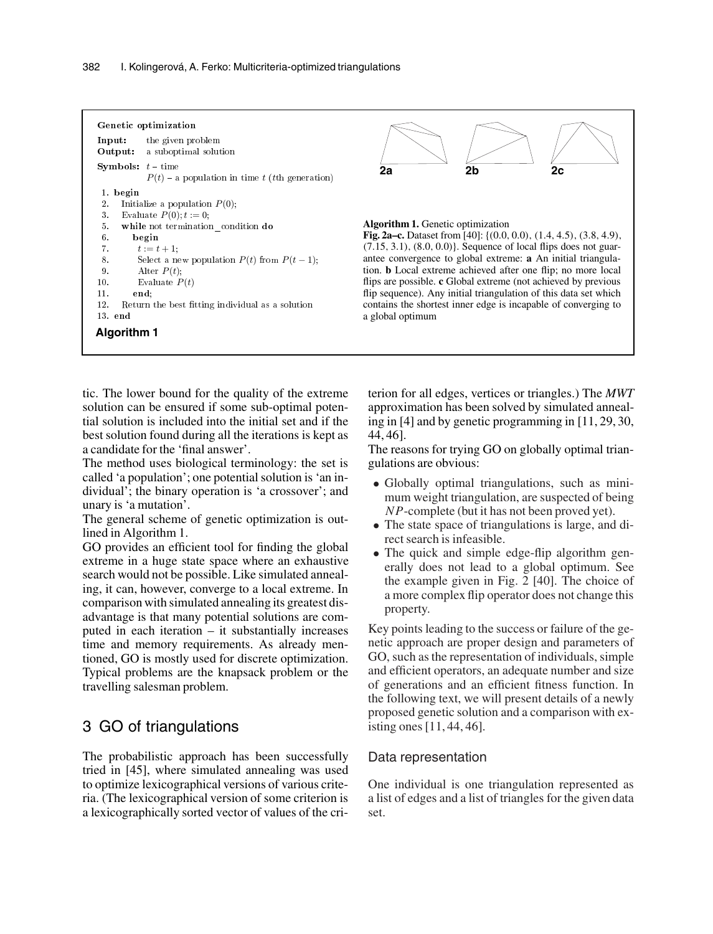

tic. The lower bound for the quality of the extreme solution can be ensured if some sub-optimal potential solution is included into the initial set and if the best solution found during all the iterations is kept as a candidate for the 'final answer'.

The method uses biological terminology: the set is called 'a population'; one potential solution is 'an individual'; the binary operation is 'a crossover'; and unary is 'a mutation'.

The general scheme of genetic optimization is outlined in Algorithm 1.

GO provides an efficient tool for finding the global extreme in a huge state space where an exhaustive search would not be possible. Like simulated annealing, it can, however, converge to a local extreme. In comparison with simulated annealing its greatest disadvantage is that many potential solutions are computed in each iteration – it substantially increases time and memory requirements. As already mentioned, GO is mostly used for discrete optimization. Typical problems are the knapsack problem or the travelling salesman problem.

## 3 GO of triangulations

The probabilistic approach has been successfully tried in [45], where simulated annealing was used to optimize lexicographical versions of various criteria. (The lexicographical version of some criterion is a lexicographically sorted vector of values of the criterion for all edges, vertices or triangles.) The *MWT* approximation has been solved by simulated annealing in [4] and by genetic programming in [11, 29, 30, 44, 46].

The reasons for trying GO on globally optimal triangulations are obvious:

- Globally optimal triangulations, such as minimum weight triangulation, are suspected of being *NP*-complete (but it has not been proved yet).
- The state space of triangulations is large, and direct search is infeasible.
- The quick and simple edge-flip algorithm generally does not lead to a global optimum. See the example given in Fig. 2 [40]. The choice of a more complex flip operator does not change this property.

Key points leading to the success or failure of the genetic approach are proper design and parameters of GO, such as the representation of individuals, simple and efficient operators, an adequate number and size of generations and an efficient fitness function. In the following text, we will present details of a newly proposed genetic solution and a comparison with existing ones [11, 44, 46].

#### Data representation

One individual is one triangulation represented as a list of edges and a list of triangles for the given data set.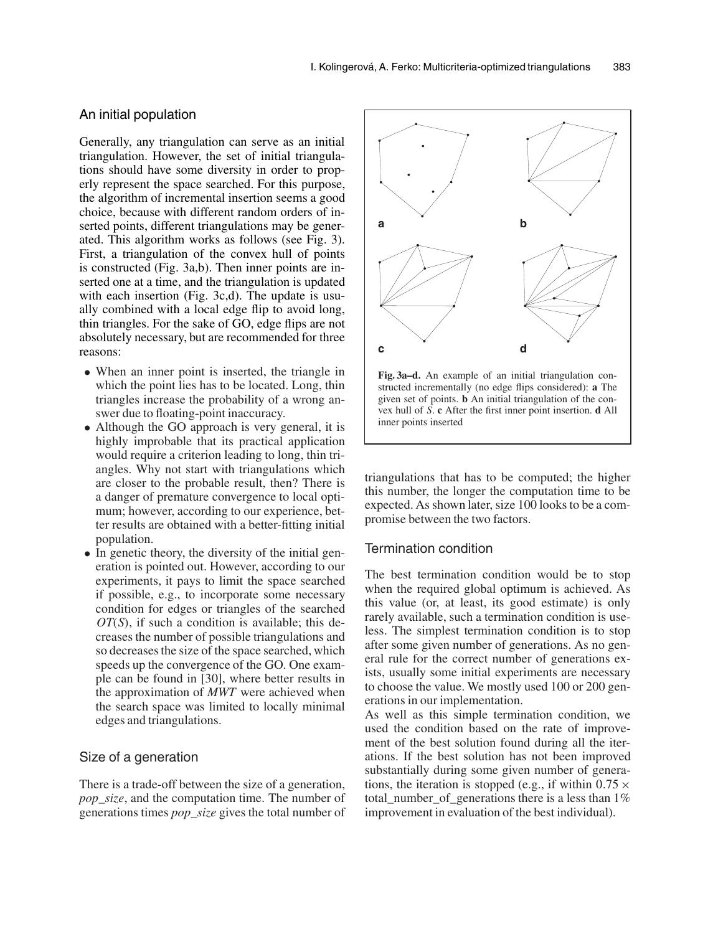#### An initial population

Generally, any triangulation can serve as an initial triangulation. However, the set of initial triangulations should have some diversity in order to properly represent the space searched. For this purpose, the algorithm of incremental insertion seems a good choice, because with different random orders of inserted points, different triangulations may be generated. This algorithm works as follows (see Fig. 3). First, a triangulation of the convex hull of points is constructed (Fig. 3a,b). Then inner points are inserted one at a time, and the triangulation is updated with each insertion (Fig. 3c,d). The update is usually combined with a local edge flip to avoid long, thin triangles. For the sake of GO, edge flips are not absolutely necessary, but are recommended for three reasons:

- When an inner point is inserted, the triangle in which the point lies has to be located. Long, thin triangles increase the probability of a wrong answer due to floating-point inaccuracy.
- Although the GO approach is very general, it is highly improbable that its practical application would require a criterion leading to long, thin triangles. Why not start with triangulations which are closer to the probable result, then? There is a danger of premature convergence to local optimum; however, according to our experience, better results are obtained with a better-fitting initial population.
- In genetic theory, the diversity of the initial generation is pointed out. However, according to our experiments, it pays to limit the space searched if possible, e.g., to incorporate some necessary condition for edges or triangles of the searched *OT*(*S*), if such a condition is available; this decreases the number of possible triangulations and so decreases the size of the space searched, which speeds up the convergence of the GO. One example can be found in [30], where better results in the approximation of *MWT* were achieved when the search space was limited to locally minimal edges and triangulations.

#### Size of a generation

There is a trade-off between the size of a generation, *pop\_size*, and the computation time. The number of generations times *pop\_size* gives the total number of



triangulations that has to be computed; the higher this number, the longer the computation time to be expected. As shown later, size 100 looks to be a compromise between the two factors.

#### Termination condition

The best termination condition would be to stop when the required global optimum is achieved. As this value (or, at least, its good estimate) is only rarely available, such a termination condition is useless. The simplest termination condition is to stop after some given number of generations. As no general rule for the correct number of generations exists, usually some initial experiments are necessary to choose the value. We mostly used 100 or 200 generations in our implementation.

As well as this simple termination condition, we used the condition based on the rate of improvement of the best solution found during all the iterations. If the best solution has not been improved substantially during some given number of generations, the iteration is stopped (e.g., if within  $0.75 \times$ total\_number\_of\_generations there is a less than 1% improvement in evaluation of the best individual).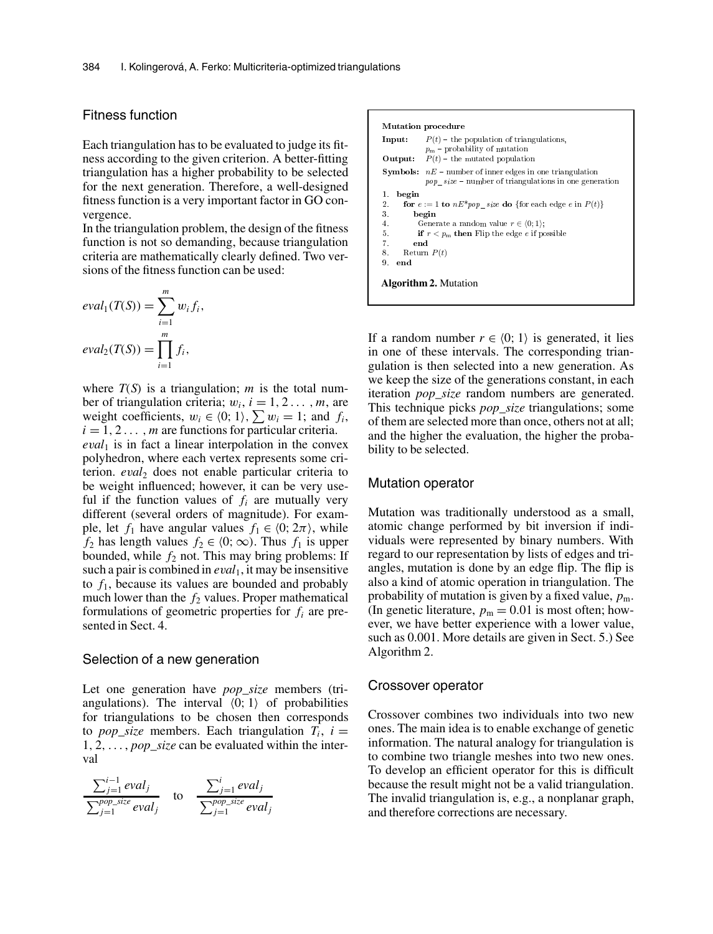#### Fitness function

Each triangulation has to be evaluated to judge its fitness according to the given criterion. A better-fitting triangulation has a higher probability to be selected for the next generation. Therefore, a well-designed fitness function is a very important factor in GO convergence.

In the triangulation problem, the design of the fitness function is not so demanding, because triangulation criteria are mathematically clearly defined. Two versions of the fitness function can be used:

$$
eval_1(T(S)) = \sum_{i=1}^{m} w_i f_i,
$$
  

$$
eval_2(T(S)) = \prod_{i=1}^{m} f_i,
$$

where  $T(S)$  is a triangulation; *m* is the total number of triangulation criteria;  $w_i$ ,  $i = 1, 2, \ldots, m$ , are weight coefficients,  $w_i \in \langle 0; 1 \rangle$ ,  $\sum w_i = 1$ ; and  $f_i$ ,  $i = 1, 2, \ldots, m$  are functions for particular criteria.

 $eval_1$  is in fact a linear interpolation in the convex polyhedron, where each vertex represents some criterion. *e*v*al*<sup>2</sup> does not enable particular criteria to be weight influenced; however, it can be very useful if the function values of  $f_i$  are mutually very different (several orders of magnitude). For example, let  $f_1$  have angular values  $f_1 \in \langle 0; 2\pi \rangle$ , while *f*<sub>2</sub> has length values  $f_2 \in (0; \infty)$ . Thus  $f_1$  is upper bounded, while  $f_2$  not. This may bring problems: If such a pair is combined in *e*v*al*1, it may be insensitive to  $f_1$ , because its values are bounded and probably much lower than the  $f_2$  values. Proper mathematical formulations of geometric properties for *fi* are presented in Sect. 4.

#### Selection of a new generation

Let one generation have *pop\_size* members (triangulations). The interval  $(0; 1)$  of probabilities for triangulations to be chosen then corresponds to *pop\_size* members. Each triangulation  $T_i$ ,  $i =$ 1, 2,... , *pop\_size* can be evaluated within the interval

$$
\frac{\sum_{j=1}^{i-1} eval_j}{\sum_{j=1}^{pop\_size} eval_j}
$$
 to 
$$
\frac{\sum_{j=1}^{i} eval_j}{\sum_{j=1}^{pop\_size} eval_j}
$$

```
Mutation procedureP(t) – the population of triangulations,
 Input:p_m – probability of mutation
 Output: P(t) – the mutated population
 Symbols: nE – number of inner edges in one triangulation
               pop\_size = number of triangulations in one generation
 \blacksquare. begins the set of \blacksquare2.for e := 1 to nE^* pop\_ size do {for each edge e in P(t)}
3. begin
             Generate a random value r \in (0, 1);
4.if r < p_m then Flip the edge e if possible
7.end
8.Return P(t)\overline{\phantom{a}}. end en de la poste de la poste de la poste de la poste de la poste de la poste de la poste de la poste de la poste de la poste de la poste de la poste de la poste de la poste de la poste de la poste de la pos
Algorithm 2. Mutation
```
If a random number  $r \in \langle 0; 1 \rangle$  is generated, it lies in one of these intervals. The corresponding triangulation is then selected into a new generation. As we keep the size of the generations constant, in each iteration *pop\_size* random numbers are generated. This technique picks *pop\_size* triangulations; some of them are selected more than once, others not at all; and the higher the evaluation, the higher the probability to be selected.

#### Mutation operator

Mutation was traditionally understood as a small, atomic change performed by bit inversion if individuals were represented by binary numbers. With regard to our representation by lists of edges and triangles, mutation is done by an edge flip. The flip is also a kind of atomic operation in triangulation. The probability of mutation is given by a fixed value, *p*m. (In genetic literature,  $p_m = 0.01$  is most often; however, we have better experience with a lower value, such as 0.001. More details are given in Sect. 5.) See Algorithm 2.

#### Crossover operator

Crossover combines two individuals into two new ones. The main idea is to enable exchange of genetic information. The natural analogy for triangulation is to combine two triangle meshes into two new ones. To develop an efficient operator for this is difficult because the result might not be a valid triangulation. The invalid triangulation is, e.g., a nonplanar graph, and therefore corrections are necessary.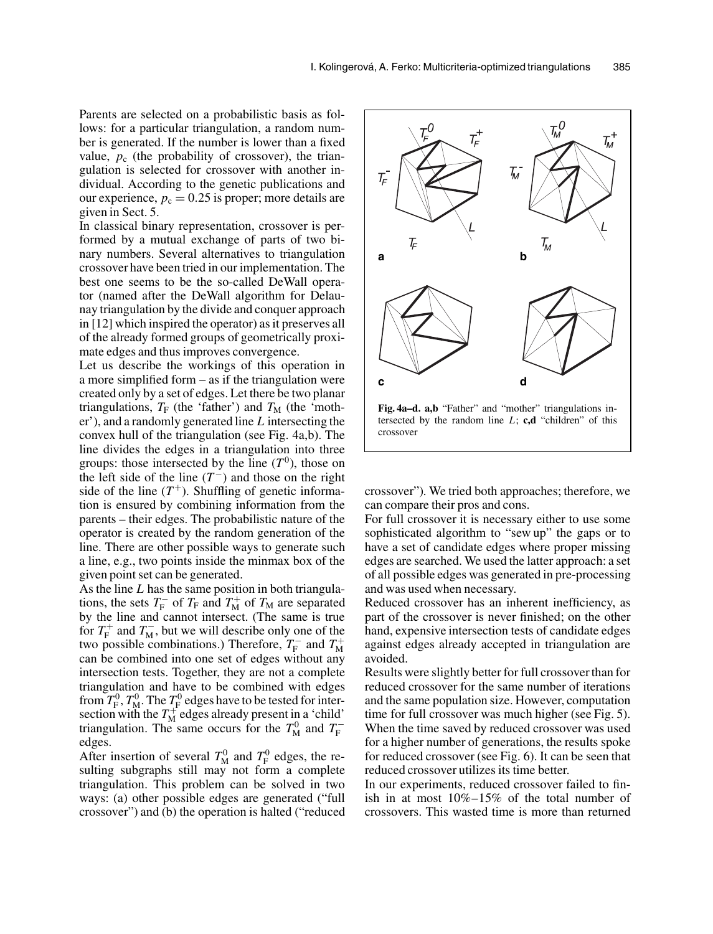Parents are selected on a probabilistic basis as follows: for a particular triangulation, a random number is generated. If the number is lower than a fixed value,  $p_c$  (the probability of crossover), the triangulation is selected for crossover with another individual. According to the genetic publications and our experience,  $p_c = 0.25$  is proper; more details are given in Sect. 5.

In classical binary representation, crossover is performed by a mutual exchange of parts of two binary numbers. Several alternatives to triangulation crossover have been tried in our implementation. The best one seems to be the so-called DeWall operator (named after the DeWall algorithm for Delaunay triangulation by the divide and conquer approach in [12] which inspired the operator) as it preserves all of the already formed groups of geometrically proximate edges and thus improves convergence.

Let us describe the workings of this operation in a more simplified form – as if the triangulation were created only by a set of edges. Let there be two planar triangulations,  $T_F$  (the 'father') and  $T_M$  (the 'mother'), and a randomly generated line *L* intersecting the convex hull of the triangulation (see Fig. 4a,b). The line divides the edges in a triangulation into three groups: those intersected by the line  $(T^0)$ , those on the left side of the line  $(T^-)$  and those on the right side of the line  $(T^+)$ . Shuffling of genetic information is ensured by combining information from the parents – their edges. The probabilistic nature of the operator is created by the random generation of the line. There are other possible ways to generate such a line, e.g., two points inside the minmax box of the given point set can be generated.

As the line *L* has the same position in both triangulations, the sets  $T_F^-$  of  $T_F$  and  $T_M^+$  of  $T_M$  are separated by the line and cannot intersect. (The same is true for  $T_F^+$  and  $T_M^-$ , but we will describe only one of the two possible combinations.) Therefore,  $T_F^-$  and  $T_M^+$ can be combined into one set of edges without any intersection tests. Together, they are not a complete triangulation and have to be combined with edges from  $T_{\rm F}^0$ ,  $T_{\rm M}^0$ . The  $T_{\rm F}^0$  edges have to be tested for intersection with the  $T_M^+$  edges already present in a 'child' triangulation. The same occurs for the  $T_{\rm M}^0$  and  $T_{\rm F}^$ edges.

After insertion of several  $T_M^0$  and  $T_F^0$  edges, the resulting subgraphs still may not form a complete triangulation. This problem can be solved in two ways: (a) other possible edges are generated ("full crossover") and (b) the operation is halted ("reduced



crossover"). We tried both approaches; therefore, we can compare their pros and cons.

For full crossover it is necessary either to use some sophisticated algorithm to "sew up" the gaps or to have a set of candidate edges where proper missing edges are searched. We used the latter approach: a set of all possible edges was generated in pre-processing and was used when necessary.

Reduced crossover has an inherent inefficiency, as part of the crossover is never finished; on the other hand, expensive intersection tests of candidate edges against edges already accepted in triangulation are avoided.

Results were slightly better for full crossover than for reduced crossover for the same number of iterations and the same population size. However, computation time for full crossover was much higher (see Fig. 5). When the time saved by reduced crossover was used for a higher number of generations, the results spoke for reduced crossover (see Fig. 6). It can be seen that reduced crossover utilizes its time better.

In our experiments, reduced crossover failed to finish in at most 10%–15% of the total number of crossovers. This wasted time is more than returned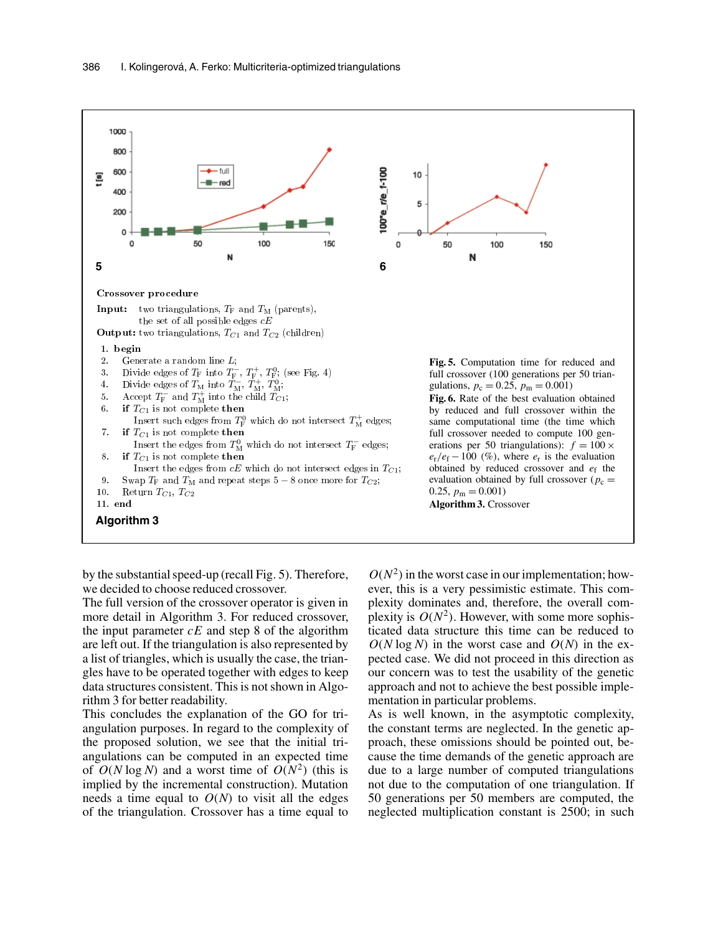

Insert the edges from  $cE$  which do not intersect edges in  $T_{C1}$ ; 9. Swap  $T_F$  and  $T_M$  and repeat steps 5 – 8 once more for  $T_{C2}$ ; 10. Return  $T_{C1}$ ,  $T_{C2}$ 11. end **Algorithm 3**

obtained by reduced crossover and *e*<sup>f</sup> the evaluation obtained by full crossover ( $p_c$  = 0.25,  $p_m = 0.001$ **Algorithm 3.** Crossover

by the substantial speed-up (recall Fig. 5). Therefore, we decided to choose reduced crossover.

The full version of the crossover operator is given in more detail in Algorithm 3. For reduced crossover, the input parameter *cE* and step 8 of the algorithm are left out. If the triangulation is also represented by a list of triangles, which is usually the case, the triangles have to be operated together with edges to keep data structures consistent. This is not shown in Algorithm 3 for better readability.

This concludes the explanation of the GO for triangulation purposes. In regard to the complexity of the proposed solution, we see that the initial triangulations can be computed in an expected time of  $O(N \log N)$  and a worst time of  $O(N^2)$  (this is implied by the incremental construction). Mutation needs a time equal to  $O(N)$  to visit all the edges of the triangulation. Crossover has a time equal to

 $O(N^2)$  in the worst case in our implementation; however, this is a very pessimistic estimate. This complexity dominates and, therefore, the overall complexity is  $O(N^2)$ . However, with some more sophisticated data structure this time can be reduced to  $O(N \log N)$  in the worst case and  $O(N)$  in the expected case. We did not proceed in this direction as our concern was to test the usability of the genetic approach and not to achieve the best possible implementation in particular problems.

As is well known, in the asymptotic complexity, the constant terms are neglected. In the genetic approach, these omissions should be pointed out, because the time demands of the genetic approach are due to a large number of computed triangulations not due to the computation of one triangulation. If 50 generations per 50 members are computed, the neglected multiplication constant is 2500; in such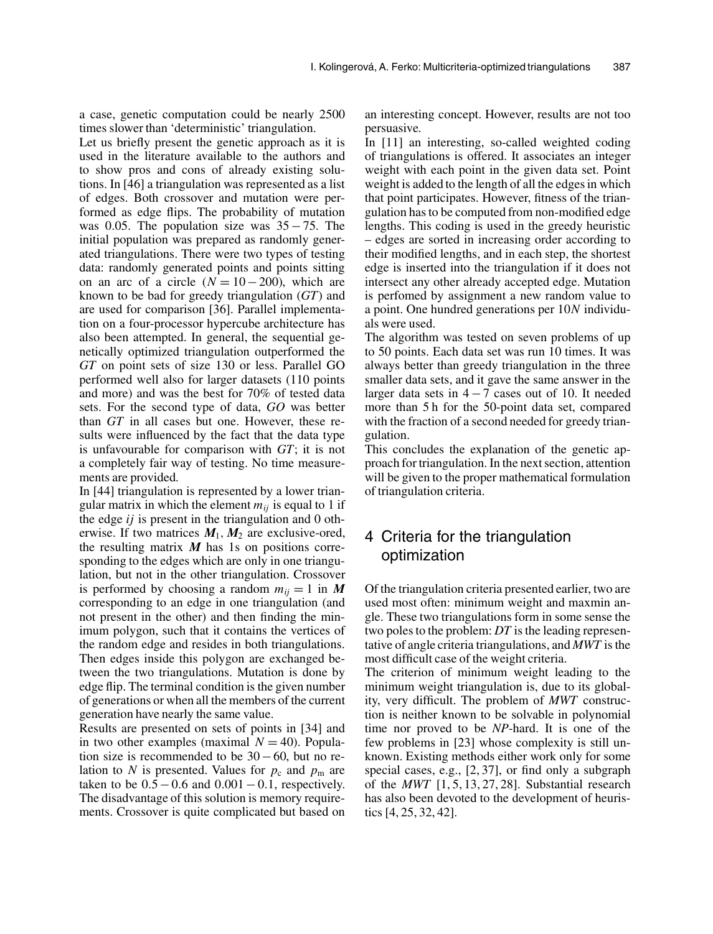a case, genetic computation could be nearly 2500 times slower than 'deterministic' triangulation.

Let us briefly present the genetic approach as it is used in the literature available to the authors and to show pros and cons of already existing solutions. In [46] a triangulation was represented as a list of edges. Both crossover and mutation were performed as edge flips. The probability of mutation was 0.05. The population size was 35−75. The initial population was prepared as randomly generated triangulations. There were two types of testing data: randomly generated points and points sitting on an arc of a circle  $(N = 10 - 200)$ , which are known to be bad for greedy triangulation (*GT*) and are used for comparison [36]. Parallel implementation on a four-processor hypercube architecture has also been attempted. In general, the sequential genetically optimized triangulation outperformed the *GT* on point sets of size 130 or less. Parallel GO performed well also for larger datasets (110 points and more) and was the best for 70% of tested data sets. For the second type of data, *GO* was better than *GT* in all cases but one. However, these results were influenced by the fact that the data type is unfavourable for comparison with *GT*; it is not a completely fair way of testing. No time measurements are provided.

In [44] triangulation is represented by a lower triangular matrix in which the element  $m_{ij}$  is equal to 1 if the edge *ij* is present in the triangulation and 0 otherwise. If two matrices  $M_1$ ,  $M_2$  are exclusive-ored, the resulting matrix  $M$  has 1s on positions corresponding to the edges which are only in one triangulation, but not in the other triangulation. Crossover is performed by choosing a random  $m_{ij} = 1$  in *M* corresponding to an edge in one triangulation (and not present in the other) and then finding the minimum polygon, such that it contains the vertices of the random edge and resides in both triangulations. Then edges inside this polygon are exchanged between the two triangulations. Mutation is done by edge flip. The terminal condition is the given number of generations or when all the members of the current generation have nearly the same value.

Results are presented on sets of points in [34] and in two other examples (maximal  $N = 40$ ). Population size is recommended to be  $30-60$ , but no relation to *N* is presented. Values for  $p_c$  and  $p_m$  are taken to be  $0.5 - 0.6$  and  $0.001 - 0.1$ , respectively. The disadvantage of this solution is memory requirements. Crossover is quite complicated but based on an interesting concept. However, results are not too persuasive.

In [11] an interesting, so-called weighted coding of triangulations is offered. It associates an integer weight with each point in the given data set. Point weight is added to the length of all the edges in which that point participates. However, fitness of the triangulation has to be computed from non-modified edge lengths. This coding is used in the greedy heuristic – edges are sorted in increasing order according to their modified lengths, and in each step, the shortest edge is inserted into the triangulation if it does not intersect any other already accepted edge. Mutation is perfomed by assignment a new random value to a point. One hundred generations per 10*N* individuals were used.

The algorithm was tested on seven problems of up to 50 points. Each data set was run 10 times. It was always better than greedy triangulation in the three smaller data sets, and it gave the same answer in the larger data sets in  $4-7$  cases out of 10. It needed more than 5 h for the 50-point data set, compared with the fraction of a second needed for greedy triangulation.

This concludes the explanation of the genetic approach for triangulation. In the next section, attention will be given to the proper mathematical formulation of triangulation criteria.

## 4 Criteria for the triangulation optimization

Of the triangulation criteria presented earlier, two are used most often: minimum weight and maxmin angle. These two triangulations form in some sense the two poles to the problem: *DT* is the leading representative of angle criteria triangulations, and *MWT* is the most difficult case of the weight criteria.

The criterion of minimum weight leading to the minimum weight triangulation is, due to its globality, very difficult. The problem of *MWT* construction is neither known to be solvable in polynomial time nor proved to be *NP*-hard. It is one of the few problems in [23] whose complexity is still unknown. Existing methods either work only for some special cases, e.g., [2, 37], or find only a subgraph of the *MWT* [1, 5, 13, 27, 28]. Substantial research has also been devoted to the development of heuristics [4, 25, 32, 42].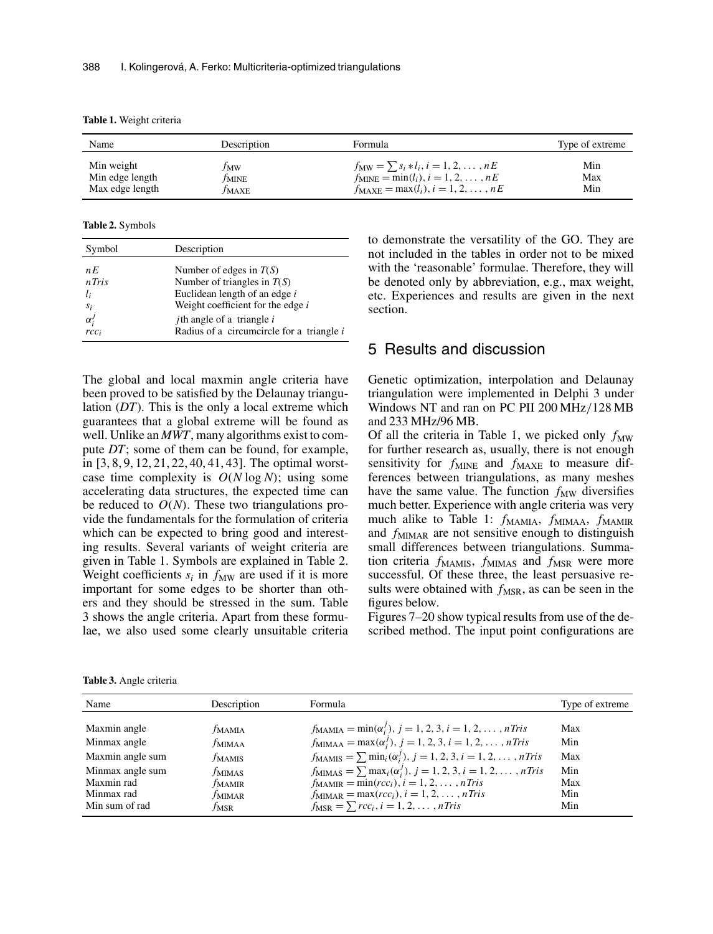**Table 1.** Weight criteria

| Name            | Description    | <b>Formula</b>                                   | Type of extreme |
|-----------------|----------------|--------------------------------------------------|-----------------|
| Min weight      | t MW           | $f_{\text{MW}} = \sum s_i * l_i, i = 1, 2, , nE$ | Min             |
| Min edge length | $f_{\rm MINE}$ | $f_{\text{MINE}} = \min(l_i), i = 1, 2, , nE$    | Max             |
| Max edge length | fmaxe          | $f_{\text{MAXE}} = \max(l_i), i = 1, 2, , nE$    | Min             |

**Table 2.** Symbols

| Symbol                           | Description                                                                        |
|----------------------------------|------------------------------------------------------------------------------------|
| n E                              | Number of edges in $T(S)$                                                          |
| n Tris                           | Number of triangles in $T(S)$                                                      |
| $l_i$                            | Euclidean length of an edge i                                                      |
| Si                               | Weight coefficient for the edge $i$                                                |
| $\alpha_i^j$<br>rcc <sub>i</sub> | <i>i</i> th angle of a triangle $i$<br>Radius of a circumcircle for a triangle $i$ |

The global and local maxmin angle criteria have been proved to be satisfied by the Delaunay triangulation (*DT*). This is the only a local extreme which guarantees that a global extreme will be found as well. Unlike an *MWT*, many algorithms exist to compute *DT*; some of them can be found, for example, in [3, 8, 9, 12, 21, 22, 40, 41, 43]. The optimal worstcase time complexity is  $O(N \log N)$ ; using some accelerating data structures, the expected time can be reduced to  $O(N)$ . These two triangulations provide the fundamentals for the formulation of criteria which can be expected to bring good and interesting results. Several variants of weight criteria are given in Table 1. Symbols are explained in Table 2. Weight coefficients  $s_i$  in  $f_{MW}$  are used if it is more important for some edges to be shorter than others and they should be stressed in the sum. Table 3 shows the angle criteria. Apart from these formulae, we also used some clearly unsuitable criteria to demonstrate the versatility of the GO. They are not included in the tables in order not to be mixed with the 'reasonable' formulae. Therefore, they will be denoted only by abbreviation, e.g., max weight, etc. Experiences and results are given in the next section.

#### 5 Results and discussion

Genetic optimization, interpolation and Delaunay triangulation were implemented in Delphi 3 under Windows NT and ran on PC PII 200 MHz/128 MB and 233 MHz/96 MB.

Of all the criteria in Table 1, we picked only  $f_{MW}$ for further research as, usually, there is not enough sensitivity for  $f_{\text{MINE}}$  and  $f_{\text{MAXE}}$  to measure differences between triangulations, as many meshes have the same value. The function  $f_{MW}$  diversifies much better. Experience with angle criteria was very much alike to Table 1:  $f_{\text{MAMIA}}$ ,  $f_{\text{MIMAA}}$ ,  $f_{\text{MAMIR}}$ and  $f_{\text{MIMAR}}$  are not sensitive enough to distinguish small differences between triangulations. Summation criteria  $f_{\text{MAMIS}}$ ,  $f_{\text{MIMAS}}$  and  $f_{\text{MSR}}$  were more successful. Of these three, the least persuasive results were obtained with  $f_{\text{MSR}}$ , as can be seen in the figures below.

Figures 7–20 show typical results from use of the described method. The input point configurations are

| Table 3. Angle criteria |  |
|-------------------------|--|
|-------------------------|--|

| Description        | Formula                                                                        | Type of extreme                                                                                                                                                                                                    |
|--------------------|--------------------------------------------------------------------------------|--------------------------------------------------------------------------------------------------------------------------------------------------------------------------------------------------------------------|
|                    |                                                                                | Max                                                                                                                                                                                                                |
|                    |                                                                                |                                                                                                                                                                                                                    |
| <i>f</i> MIMAA     |                                                                                | Min                                                                                                                                                                                                                |
| $f_{\rm MAMIS}$    | $f_{\text{MAMIS}} = \sum \min_i (\alpha_i^j), j = 1, 2, 3, i = 1, 2, , n$ Tris | Max                                                                                                                                                                                                                |
| $f_{\rm MIMAS}$    | $f_{\text{MIMAS}} = \sum \max_i (\alpha_i^j), j = 1, 2, 3, i = 1, 2, , n$ Tris | Min                                                                                                                                                                                                                |
| $f_{\text{MAMIR}}$ | $f_{\text{MAMIR}} = \min(rcc_i), i = 1, 2, \ldots, n$ Tris                     | Max                                                                                                                                                                                                                |
|                    |                                                                                | Min                                                                                                                                                                                                                |
| $t_{\rm{MSR}}$     | $f_{\text{MSR}} = \sum rcc_i, i = 1, 2, \ldots, nTris$                         | Min                                                                                                                                                                                                                |
|                    | $J$ MAMIA<br>$f$ MIMAR                                                         | $f_{\text{MAMIA}} = \min(\alpha_i^j), j = 1, 2, 3, i = 1, 2, \dots, n$ Tris<br>$f_{\text{MIMAA}} = \max(\alpha_i^j), j = 1, 2, 3, i = 1, 2, , n$ Tris<br>$f_{\text{MIMAR}} = \max(rcc_i), i = 1, 2, \ldots, nTris$ |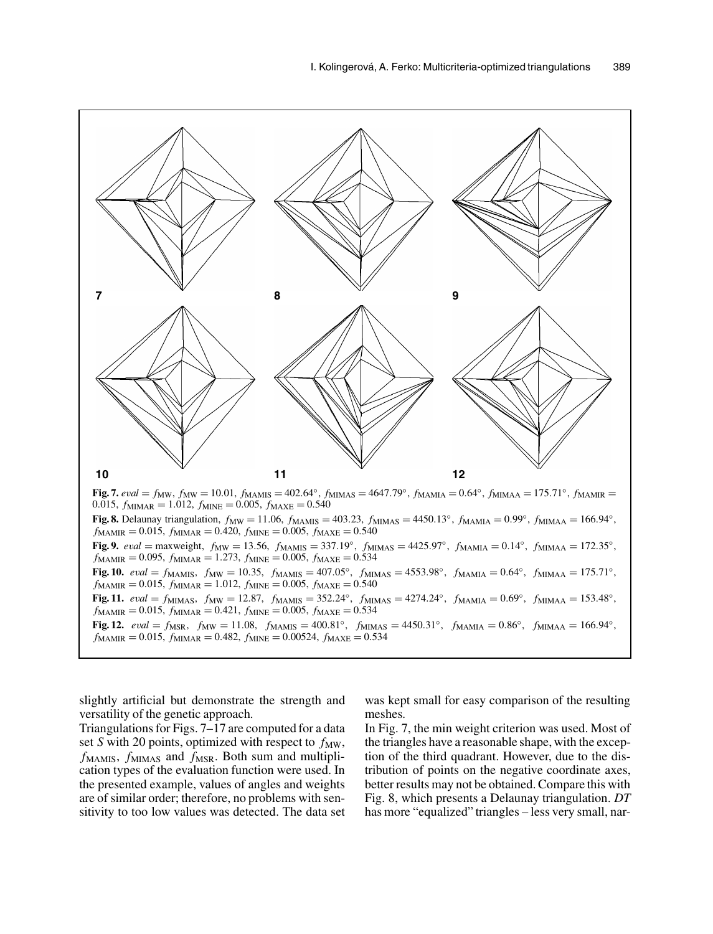

slightly artificial but demonstrate the strength and versatility of the genetic approach.

Triangulations for Figs. 7–17 are computed for a data set *S* with 20 points, optimized with respect to  $f_{\text{MW}}$ , *f*<sub>MAMIS</sub>, *f*<sub>MIMAS</sub> and *f*<sub>MSR</sub>. Both sum and multiplication types of the evaluation function were used. In the presented example, values of angles and weights are of similar order; therefore, no problems with sensitivity to too low values was detected. The data set

was kept small for easy comparison of the resulting meshes.

In Fig. 7, the min weight criterion was used. Most of the triangles have a reasonable shape, with the exception of the third quadrant. However, due to the distribution of points on the negative coordinate axes, better results may not be obtained. Compare this with Fig. 8, which presents a Delaunay triangulation. *DT* has more "equalized" triangles – less very small, nar-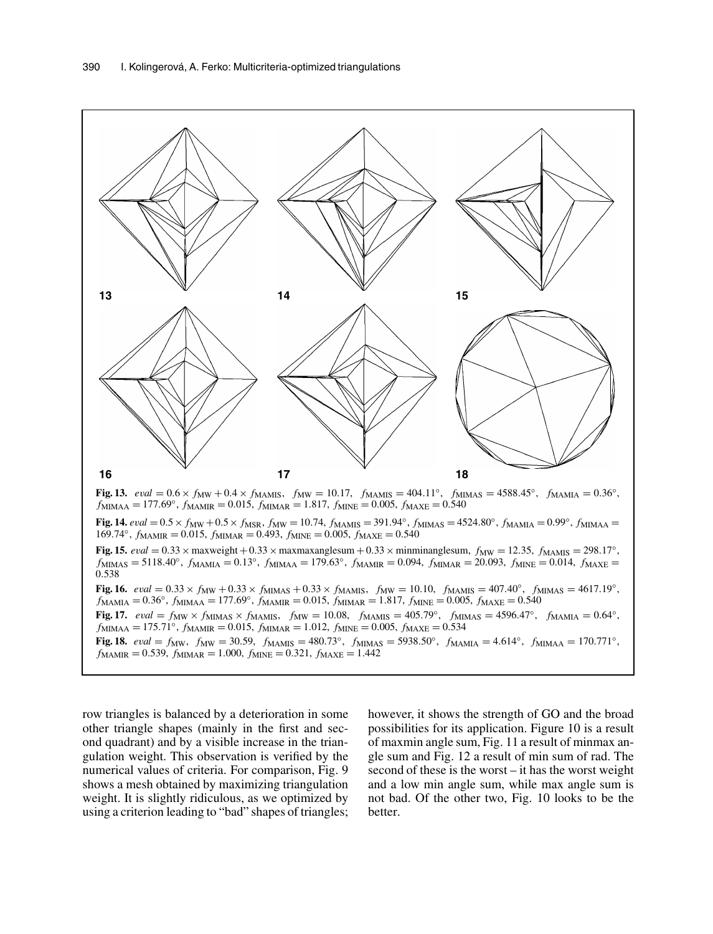

**Fig. 15.**  $eval = 0.33 \times \text{maxweight} + 0.33 \times \text{maxmaxanglesum} + 0.33 \times \text{minminanglesum}$ ,  $f_{\text{MW}} = 12.35$ ,  $f_{\text{MAMIS}} = 298.17°$ , *f*MIMAS = 5118.40◦, *f*MAMIA = 0.13◦, *f*MIMAA = 179.63◦, *f*MAMIR = 0.094, *f*MIMAR = 20.093, *f*MINE = 0.014, *f*MAXE = 0.538

**Fig. 16.**  $eval = 0.33 \times f_{\text{MW}} + 0.33 \times f_{\text{MMMS}} + 0.33 \times f_{\text{MAMIS}}$ ,  $f_{\text{MW}} = 10.10$ ,  $f_{\text{MAMIS}} = 407.40$ °,  $f_{\text{MIMAS}} = 4617.19$ °, *f*MAMIA = 0.36◦, *f*MIMAA = 177.69◦, *f*MAMIR = 0.015, *f*MIMAR = 1.817, *f*MINE = 0.005, *f*MAXE = 0.540

**Fig. 17.**  $eval = f_{MW} \times f_{MIMAS} \times f_{MAMIS}$ ,  $f_{MW} = 10.08$ ,  $f_{MAMIS} = 405.79$ °,  $f_{MIMAS} = 4596.47$ °,  $f_{MAMIA} = 0.64$ °,  $f_{\text{MIMAA}} = 175.71^{\circ}, f_{\text{MAMIR}} = 0.015, f_{\text{MIMAR}} = 1.012, f_{\text{MINE}} = 0.005, f_{\text{MAXE}} = 0.534$ 

**Fig. 18.**  $eval = f_{MW}$ ,  $f_{MW} = 30.59$ ,  $f_{MAMIS} = 480.73°$ ,  $f_{MIMAS} = 5938.50°$ ,  $f_{MAMIA} = 4.614°$ ,  $f_{MIMAA} = 170.771°$ ,  $f_{\text{MAMIR}} = 0.539, f_{\text{MIMAR}} = 1.000, f_{\text{MINE}} = 0.321, f_{\text{MAXE}} = 1.442$ 

row triangles is balanced by a deterioration in some other triangle shapes (mainly in the first and second quadrant) and by a visible increase in the triangulation weight. This observation is verified by the numerical values of criteria. For comparison, Fig. 9 shows a mesh obtained by maximizing triangulation weight. It is slightly ridiculous, as we optimized by using a criterion leading to "bad" shapes of triangles;

however, it shows the strength of GO and the broad possibilities for its application. Figure 10 is a result of maxmin angle sum, Fig. 11 a result of minmax angle sum and Fig. 12 a result of min sum of rad. The second of these is the worst – it has the worst weight and a low min angle sum, while max angle sum is not bad. Of the other two, Fig. 10 looks to be the better.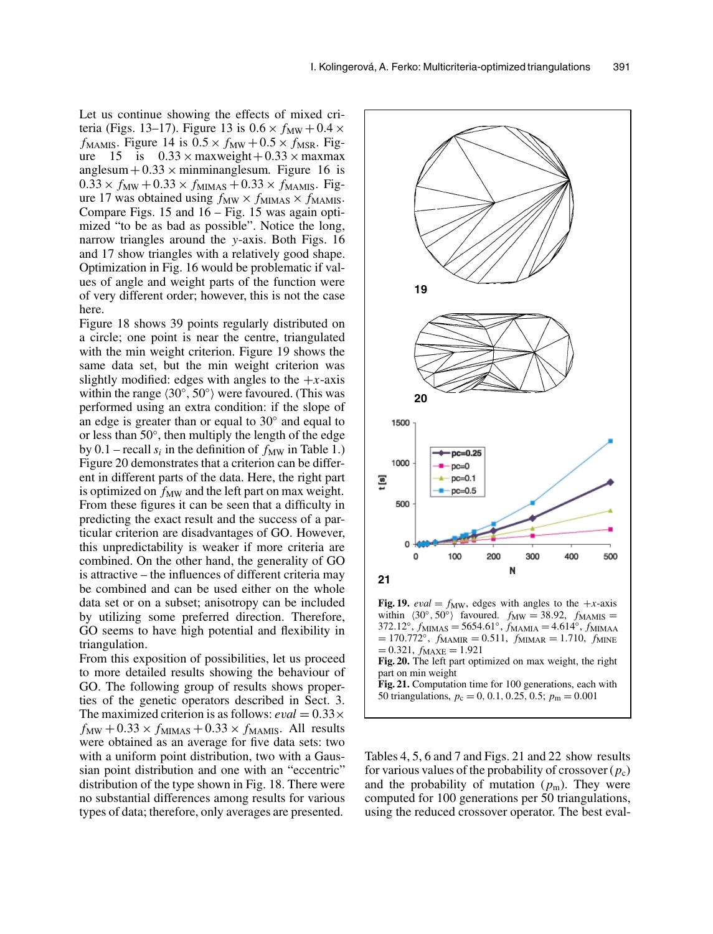Let us continue showing the effects of mixed criteria (Figs. 13–17). Figure 13 is  $0.6 \times f_{\text{MW}} + 0.4 \times$ *f*<sub>MAMIS</sub>. Figure 14 is  $0.5 \times f_{MW} + 0.5 \times f_{MSR}$ . Figure 15 is  $0.33 \times$  maxweight + 0.33  $\times$  maxmax anglesum +  $0.33 \times$  minminanglesum. Figure 16 is  $0.33 \times f_{\text{MW}} + 0.33 \times f_{\text{MIMAS}} + 0.33 \times f_{\text{MAMIS}}$ . Figure 17 was obtained using  $f_{\text{MW}} \times f_{\text{MIMAS}} \times f_{\text{MAMIS}}$ . Compare Figs. 15 and 16 – Fig. 15 was again optimized "to be as bad as possible". Notice the long, narrow triangles around the *y*-axis. Both Figs. 16 and 17 show triangles with a relatively good shape. Optimization in Fig. 16 would be problematic if values of angle and weight parts of the function were of very different order; however, this is not the case here.

Figure 18 shows 39 points regularly distributed on a circle; one point is near the centre, triangulated with the min weight criterion. Figure 19 shows the same data set, but the min weight criterion was slightly modified: edges with angles to the  $+x$ -axis within the range  $\langle 30^\circ, 50^\circ \rangle$  were favoured. (This was performed using an extra condition: if the slope of an edge is greater than or equal to 30◦ and equal to or less than 50◦, then multiply the length of the edge by 0.1 – recall  $s_i$  in the definition of  $f_{MW}$  in Table 1.) Figure 20 demonstrates that a criterion can be different in different parts of the data. Here, the right part is optimized on  $f_{MW}$  and the left part on max weight. From these figures it can be seen that a difficulty in predicting the exact result and the success of a particular criterion are disadvantages of GO. However, this unpredictability is weaker if more criteria are combined. On the other hand, the generality of GO is attractive – the influences of different criteria may be combined and can be used either on the whole data set or on a subset; anisotropy can be included by utilizing some preferred direction. Therefore, GO seems to have high potential and flexibility in triangulation.

From this exposition of possibilities, let us proceed to more detailed results showing the behaviour of GO. The following group of results shows properties of the genetic operators described in Sect. 3. The maximized criterion is as follows:  $eval = 0.33 \times$  $f_{\text{MW}} + 0.33 \times f_{\text{MMAS}} + 0.33 \times f_{\text{MAMS}}$ . All results were obtained as an average for five data sets: two with a uniform point distribution, two with a Gaussian point distribution and one with an "eccentric" distribution of the type shown in Fig. 18. There were no substantial differences among results for various types of data; therefore, only averages are presented.



**Fig. 19.**  $eval = f_{MW}$ , edges with angles to the  $+x$ -axis within  $\langle 30^\circ, 50^\circ \rangle$  favoured.  $f_{\text{MW}} = 38.92$ ,  $f_{\text{MAMIS}} =$  $372.12°$ ,  $f_{\text{MIMAS}} = 5654.61°$ ,  $f_{\text{MAMIA}} = 4.614°$ ,  $f_{\text{MIMAA}}$  $= 170.772$ °,  $f_{\text{MAMIR}} = 0.511$ ,  $f_{\text{MIMAR}} = 1.710$ ,  $f_{\text{MINE}}$  $= 0.321, f_{\text{MAXE}} = 1.921$ **Fig. 20.** The left part optimized on max weight, the right part on min weight **Fig. 21.** Computation time for 100 generations, each with 50 triangulations, *p*<sup>c</sup> = 0, 0.1, 0.25, 0.5; *p*<sup>m</sup> = 0.001

Tables 4, 5, 6 and 7 and Figs. 21 and 22 show results for various values of the probability of crossover  $(p_c)$ and the probability of mutation  $(p_m)$ . They were computed for 100 generations per 50 triangulations, using the reduced crossover operator. The best eval-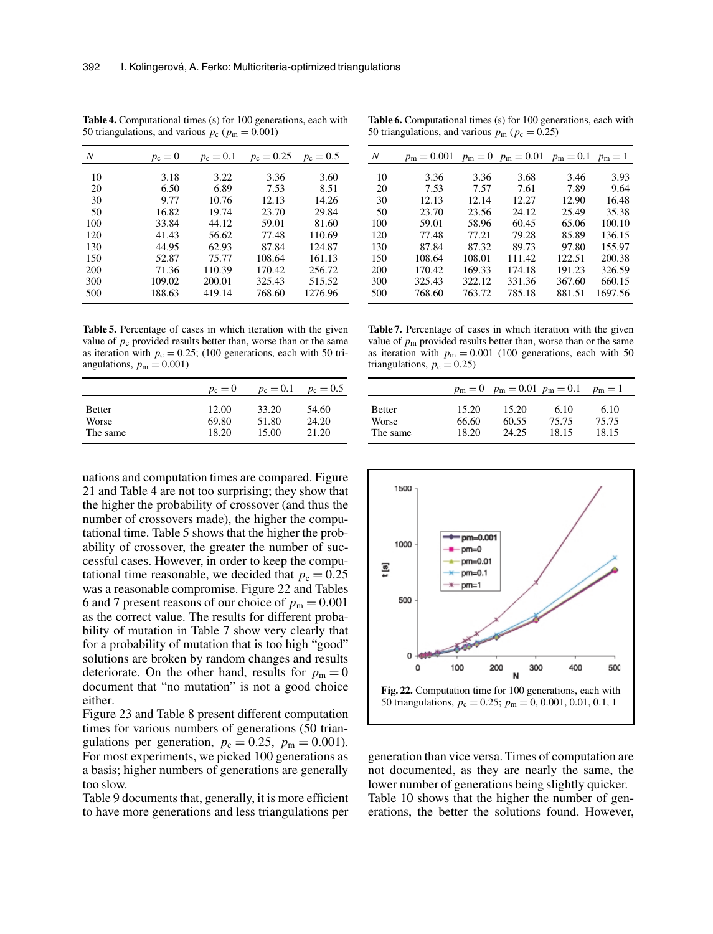| N   | $p_c=0$ | $p_c = 0.1$ | $p_c = 0.25$ | $p_c = 0.5$ |
|-----|---------|-------------|--------------|-------------|
| 10  | 3.18    | 3.22        | 3.36         | 3.60        |
| 20  | 6.50    | 6.89        | 7.53         | 8.51        |
| 30  | 9.77    | 10.76       | 12.13        | 14.26       |
| 50  | 16.82   | 19.74       | 23.70        | 29.84       |
| 100 | 33.84   | 44.12       | 59.01        | 81.60       |
| 120 | 41.43   | 56.62       | 77.48        | 110.69      |
| 130 | 44.95   | 62.93       | 87.84        | 124.87      |
| 150 | 52.87   | 75.77       | 108.64       | 161.13      |
| 200 | 71.36   | 110.39      | 170.42       | 256.72      |
| 300 | 109.02  | 200.01      | 325.43       | 515.52      |
| 500 | 188.63  | 419.14      | 768.60       | 1276.96     |

**Table 4.** Computational times (s) for 100 generations, each with 50 triangulations, and various  $p_c$  ( $p_m$  = 0.001)

**Table 5.** Percentage of cases in which iteration with the given value of  $p_c$  provided results better than, worse than or the same as iteration with  $p_c = 0.25$ ; (100 generations, each with 50 triangulations,  $p_m = 0.001$ )

|          | $p_c=0$ | $p_c = 0.1$ | $p_c = 0.5$ |
|----------|---------|-------------|-------------|
| Better   | 12.00   | 33.20       | 54.60       |
| Worse    | 69.80   | 51.80       | 24.20       |
| The same | 18.20   | 15.00       | 21.20       |

uations and computation times are compared. Figure 21 and Table 4 are not too surprising; they show that the higher the probability of crossover (and thus the number of crossovers made), the higher the computational time. Table 5 shows that the higher the probability of crossover, the greater the number of successful cases. However, in order to keep the computational time reasonable, we decided that  $p_c = 0.25$ was a reasonable compromise. Figure 22 and Tables 6 and 7 present reasons of our choice of  $p_m = 0.001$ as the correct value. The results for different probability of mutation in Table 7 show very clearly that for a probability of mutation that is too high "good" solutions are broken by random changes and results deteriorate. On the other hand, results for  $p_m = 0$ document that "no mutation" is not a good choice either.

Figure 23 and Table 8 present different computation times for various numbers of generations (50 triangulations per generation,  $p_c = 0.25$ ,  $p_m = 0.001$ ). For most experiments, we picked 100 generations as a basis; higher numbers of generations are generally too slow.

Table 9 documents that, generally, it is more efficient to have more generations and less triangulations per

**Table 6.** Computational times (s) for 100 generations, each with 50 triangulations, and various  $p_m$  ( $p_c$  = 0.25)

| N   | $p_{\rm m} = 0.001$ |        | $p_{\rm m} = 0$ $p_{\rm m} = 0.01$ | $p_{\rm m} = 0.1$ | $p_{\rm m}=1$ |
|-----|---------------------|--------|------------------------------------|-------------------|---------------|
|     |                     |        |                                    |                   |               |
| 10  | 3.36                | 3.36   | 3.68                               | 3.46              | 3.93          |
| 20  | 7.53                | 7.57   | 7.61                               | 7.89              | 9.64          |
| 30  | 12.13               | 12.14  | 12.27                              | 12.90             | 16.48         |
| 50  | 23.70               | 23.56  | 24.12                              | 25.49             | 35.38         |
| 100 | 59.01               | 58.96  | 60.45                              | 65.06             | 100.10        |
| 120 | 77.48               | 77.21  | 79.28                              | 85.89             | 136.15        |
| 130 | 87.84               | 87.32  | 89.73                              | 97.80             | 155.97        |
| 150 | 108.64              | 108.01 | 111.42                             | 122.51            | 200.38        |
| 200 | 170.42              | 169.33 | 174.18                             | 191.23            | 326.59        |
| 300 | 325.43              | 322.12 | 331.36                             | 367.60            | 660.15        |
| 500 | 768.60              | 763.72 | 785.18                             | 881.51            | 1697.56       |

**Table 7.** Percentage of cases in which iteration with the given value of  $p<sub>m</sub>$  provided results better than, worse than or the same as iteration with  $p_m = 0.001$  (100 generations, each with 50 triangulations,  $p_c = 0.25$ )

|               | $p_{\rm m}=0$ | $p_{\rm m} = 0.01 p_{\rm m} = 0.1$ |       | $p_{\rm m} = 1$ |
|---------------|---------------|------------------------------------|-------|-----------------|
| <b>Better</b> | 15.20         | 15.20                              | 6.10  | 6.10            |
| Worse         | 66.60         | 60.55                              | 75.75 | 75.75           |
| The same      | 18.20         | 24.25                              | 18.15 | 18.15           |



generation than vice versa. Times of computation are not documented, as they are nearly the same, the lower number of generations being slightly quicker. Table 10 shows that the higher the number of generations, the better the solutions found. However,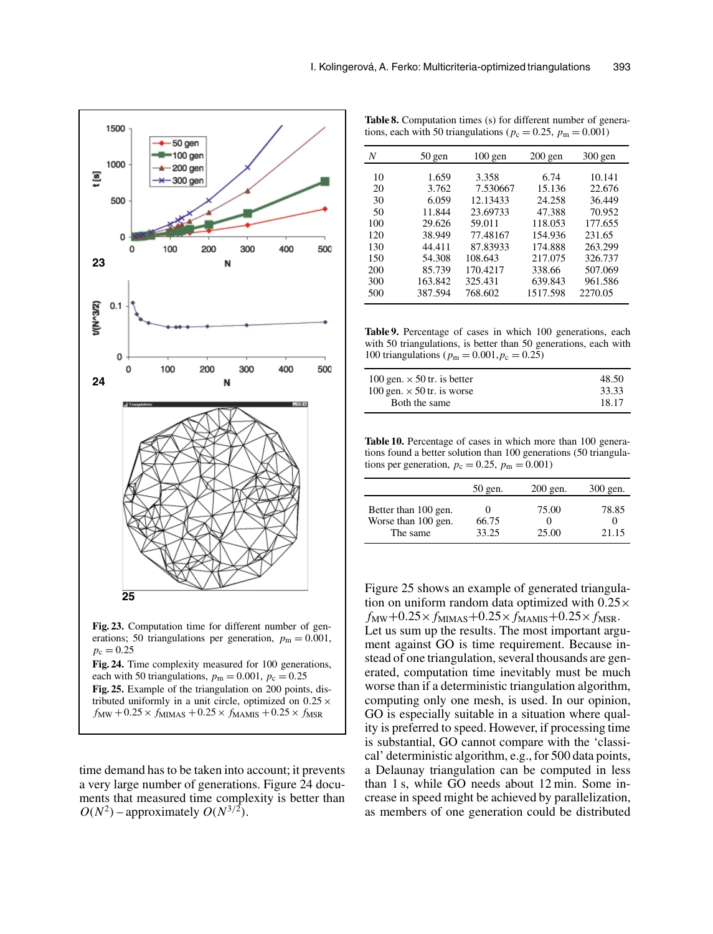

**Fig. 23.** Computation time for different number of generations; 50 triangulations per generation,  $p_m = 0.001$ ,  $p_c = 0.25$ 

**Fig. 24.** Time complexity measured for 100 generations, each with 50 triangulations,  $p_m = 0.001$ ,  $p_c = 0.25$ **Fig. 25.** Example of the triangulation on 200 points, distributed uniformly in a unit circle, optimized on  $0.25 \times$  $f_{\text{MW}} + 0.25 \times f_{\text{MIMAS}} + 0.25 \times f_{\text{MAMIS}} + 0.25 \times f_{\text{MSR}}$ 

time demand has to be taken into account; it prevents a very large number of generations. Figure 24 documents that measured time complexity is better than  $O(N^2)$  – approximately  $O(N^{3/2})$ .

**Table 8.** Computation times (s) for different number of generations, each with 50 triangulations ( $p_c = 0.25$ ,  $p_m = 0.001$ )

| N   | $50$ gen | $100 \text{ gen}$ | $200$ gen | $300 \text{ gen}$ |
|-----|----------|-------------------|-----------|-------------------|
|     |          |                   |           |                   |
| 10  | 1.659    | 3.358             | 6.74      | 10.141            |
| 20  | 3.762    | 7.530667          | 15.136    | 22.676            |
| 30  | 6.059    | 12.13433          | 24.258    | 36.449            |
| 50  | 11.844   | 23.69733          | 47.388    | 70.952            |
| 100 | 29.626   | 59.011            | 118.053   | 177.655           |
| 120 | 38.949   | 77.48167          | 154.936   | 231.65            |
| 130 | 44.411   | 87.83933          | 174.888   | 263.299           |
| 150 | 54.308   | 108.643           | 217.075   | 326.737           |
| 200 | 85.739   | 170.4217          | 338.66    | 507.069           |
| 300 | 163.842  | 325.431           | 639.843   | 961.586           |
| 500 | 387.594  | 768.602           | 1517.598  | 2270.05           |
|     |          |                   |           |                   |

**Table 9.** Percentage of cases in which 100 generations, each with 50 triangulations, is better than 50 generations, each with 100 triangulations ( $p_m = 0.001, p_c = 0.25$ )

| 48.50 |
|-------|
| 33.33 |
| 18.17 |
|       |

**Table 10.** Percentage of cases in which more than 100 generations found a better solution than 100 generations (50 triangulations per generation,  $p_c = 0.25$ ,  $p_m = 0.001$ )

|                                                         | 50 gen.        | $200$ gen.                 | 300 gen.       |
|---------------------------------------------------------|----------------|----------------------------|----------------|
| Better than 100 gen.<br>Worse than 100 gen.<br>The same | 66.75<br>33.25 | 75.00<br>$^{(1)}$<br>25.00 | 78.85<br>21.15 |

Figure 25 shows an example of generated triangulation on uniform random data optimized with  $0.25 \times$  $f_{\text{MW}}+0.25\times f_{\text{MIMAS}}+0.25\times f_{\text{MAMIS}}+0.25\times f_{\text{MSR}}.$ 

Let us sum up the results. The most important argument against GO is time requirement. Because instead of one triangulation, several thousands are generated, computation time inevitably must be much worse than if a deterministic triangulation algorithm, computing only one mesh, is used. In our opinion, GO is especially suitable in a situation where quality is preferred to speed. However, if processing time is substantial, GO cannot compare with the 'classical' deterministic algorithm, e.g., for 500 data points, a Delaunay triangulation can be computed in less than 1 s, while GO needs about 12 min. Some increase in speed might be achieved by parallelization, as members of one generation could be distributed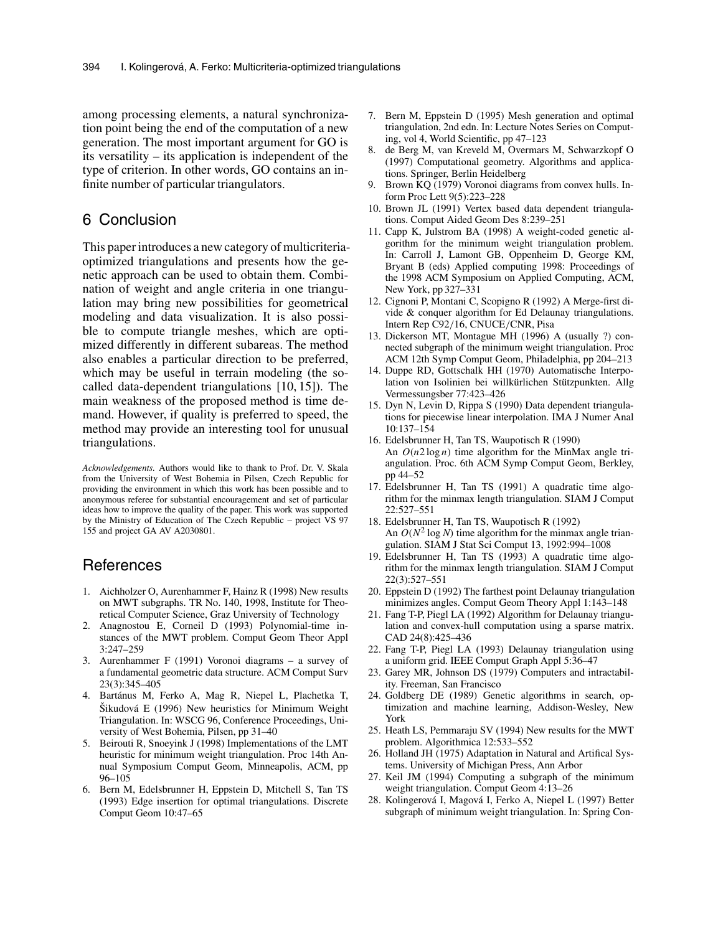among processing elements, a natural synchronization point being the end of the computation of a new generation. The most important argument for GO is its versatility – its application is independent of the type of criterion. In other words, GO contains an infinite number of particular triangulators.

### 6 Conclusion

This paper introduces a new category of multicriteriaoptimized triangulations and presents how the genetic approach can be used to obtain them. Combination of weight and angle criteria in one triangulation may bring new possibilities for geometrical modeling and data visualization. It is also possible to compute triangle meshes, which are optimized differently in different subareas. The method also enables a particular direction to be preferred, which may be useful in terrain modeling (the socalled data-dependent triangulations [10, 15]). The main weakness of the proposed method is time demand. However, if quality is preferred to speed, the method may provide an interesting tool for unusual triangulations.

*Acknowledgements.* Authors would like to thank to Prof. Dr. V. Skala from the University of West Bohemia in Pilsen, Czech Republic for providing the environment in which this work has been possible and to anonymous referee for substantial encouragement and set of particular ideas how to improve the quality of the paper. This work was supported by the Ministry of Education of The Czech Republic – project VS 97 155 and project GA AV A2030801.

## **References**

- 1. Aichholzer O, Aurenhammer F, Hainz R (1998) New results on MWT subgraphs. TR No. 140, 1998, Institute for Theoretical Computer Science, Graz University of Technology
- 2. Anagnostou E, Corneil D (1993) Polynomial-time instances of the MWT problem. Comput Geom Theor Appl 3:247–259
- 3. Aurenhammer F (1991) Voronoi diagrams a survey of a fundamental geometric data structure. ACM Comput Surv 23(3):345–405
- 4. Bartanus M, Ferko A, Mag R, Niepel L, Plachetka T, ´ Šikudová E (1996) New heuristics for Minimum Weight Triangulation. In: WSCG 96, Conference Proceedings, University of West Bohemia, Pilsen, pp 31–40
- 5. Beirouti R, Snoeyink J (1998) Implementations of the LMT heuristic for minimum weight triangulation. Proc 14th Annual Symposium Comput Geom, Minneapolis, ACM, pp 96–105
- 6. Bern M, Edelsbrunner H, Eppstein D, Mitchell S, Tan TS (1993) Edge insertion for optimal triangulations. Discrete Comput Geom 10:47–65
- 7. Bern M, Eppstein D (1995) Mesh generation and optimal triangulation, 2nd edn. In: Lecture Notes Series on Computing, vol 4, World Scientific, pp 47–123
- 8. de Berg M, van Kreveld M, Overmars M, Schwarzkopf O (1997) Computational geometry. Algorithms and applications. Springer, Berlin Heidelberg
- 9. Brown KQ (1979) Voronoi diagrams from convex hulls. Inform Proc Lett 9(5):223–228
- 10. Brown JL (1991) Vertex based data dependent triangulations. Comput Aided Geom Des 8:239–251
- 11. Capp K, Julstrom BA (1998) A weight-coded genetic algorithm for the minimum weight triangulation problem. In: Carroll J, Lamont GB, Oppenheim D, George KM, Bryant B (eds) Applied computing 1998: Proceedings of the 1998 ACM Symposium on Applied Computing, ACM, New York, pp 327–331
- 12. Cignoni P, Montani C, Scopigno R (1992) A Merge-first divide & conquer algorithm for Ed Delaunay triangulations. Intern Rep C92/16, CNUCE/CNR, Pisa
- 13. Dickerson MT, Montague MH (1996) A (usually ?) connected subgraph of the minimum weight triangulation. Proc ACM 12th Symp Comput Geom, Philadelphia, pp 204–213
- 14. Duppe RD, Gottschalk HH (1970) Automatische Interpolation von Isolinien bei willkürlichen Stützpunkten. Allg Vermessungsber 77:423–426
- 15. Dyn N, Levin D, Rippa S (1990) Data dependent triangulations for piecewise linear interpolation. IMA J Numer Anal 10:137–154
- 16. Edelsbrunner H, Tan TS, Waupotisch R (1990) An *O*(*n*2 log *n*) time algorithm for the MinMax angle triangulation. Proc. 6th ACM Symp Comput Geom, Berkley, pp 44–52
- 17. Edelsbrunner H, Tan TS (1991) A quadratic time algorithm for the minmax length triangulation. SIAM J Comput 22:527–551
- 18. Edelsbrunner H, Tan TS, Waupotisch R (1992) An  $O(N^2 \log N)$  time algorithm for the minmax angle triangulation. SIAM J Stat Sci Comput 13, 1992:994–1008
- 19. Edelsbrunner H, Tan TS (1993) A quadratic time algorithm for the minmax length triangulation. SIAM J Comput 22(3):527–551
- 20. Eppstein D (1992) The farthest point Delaunay triangulation minimizes angles. Comput Geom Theory Appl 1:143–148
- 21. Fang T-P, Piegl LA (1992) Algorithm for Delaunay triangulation and convex-hull computation using a sparse matrix. CAD 24(8):425–436
- 22. Fang T-P, Piegl LA (1993) Delaunay triangulation using a uniform grid. IEEE Comput Graph Appl 5:36–47
- 23. Garey MR, Johnson DS (1979) Computers and intractability. Freeman, San Francisco
- 24. Goldberg DE (1989) Genetic algorithms in search, optimization and machine learning, Addison-Wesley, New York
- 25. Heath LS, Pemmaraju SV (1994) New results for the MWT problem. Algorithmica 12:533–552
- 26. Holland JH (1975) Adaptation in Natural and Artifical Systems. University of Michigan Press, Ann Arbor
- 27. Keil JM (1994) Computing a subgraph of the minimum weight triangulation. Comput Geom 4:13–26
- 28. Kolingerová I, Magová I, Ferko A, Niepel L (1997) Better subgraph of minimum weight triangulation. In: Spring Con-